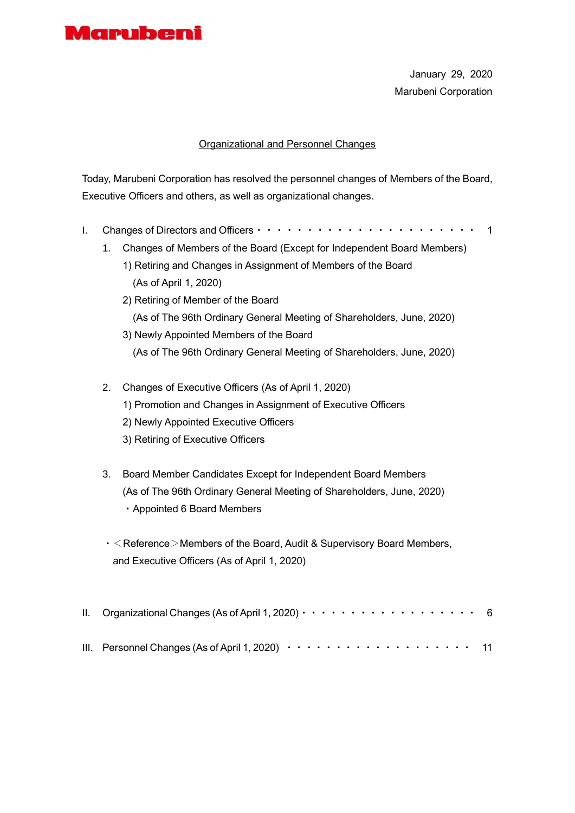

January 29, 2020 Marubeni Corporation

### Organizational and Personnel Changes

Today, Marubeni Corporation has resolved the personnel changes of Members of the Board, Executive Officers and others, as well as organizational changes.

- I. Changes of Directors and Officers・・・・・・・・・・・・・・・・・・・・・・ 1
	- 1. Changes of Members of the Board (Except for Independent Board Members)
		- 1) Retiring and Changes in Assignment of Members of the Board (As of April 1, 2020)
		- 2) Retiring of Member of the Board (As of The 96th Ordinary General Meeting of Shareholders, June, 2020) 3) Newly Appointed Members of the Board
			- (As of The 96th Ordinary General Meeting of Shareholders, June, 2020)
	- 2. Changes of Executive Officers (As of April 1, 2020) 1) Promotion and Changes in Assignment of Executive Officers 2) Newly Appointed Executive Officers 3) Retiring of Executive Officers
	- 3. Board Member Candidates Except for Independent Board Members (As of The 96th Ordinary General Meeting of Shareholders, June, 2020) ・Appointed 6 Board Members
	- $\cdot$  < Reference > Members of the Board, Audit & Supervisory Board Members, and Executive Officers (As of April 1, 2020)

| II. Organizational Changes (As of April 1, 2020) $\cdots$ $\cdots$ $\cdots$ $\cdots$ $\cdots$ $\cdots$ $\cdots$ 6 |  |  |  |  |  |  |  |  |  |  |  |
|-------------------------------------------------------------------------------------------------------------------|--|--|--|--|--|--|--|--|--|--|--|
| III. Personnel Changes (As of April 1, 2020) $\cdots \cdots \cdots \cdots \cdots \cdots \cdots$ 11                |  |  |  |  |  |  |  |  |  |  |  |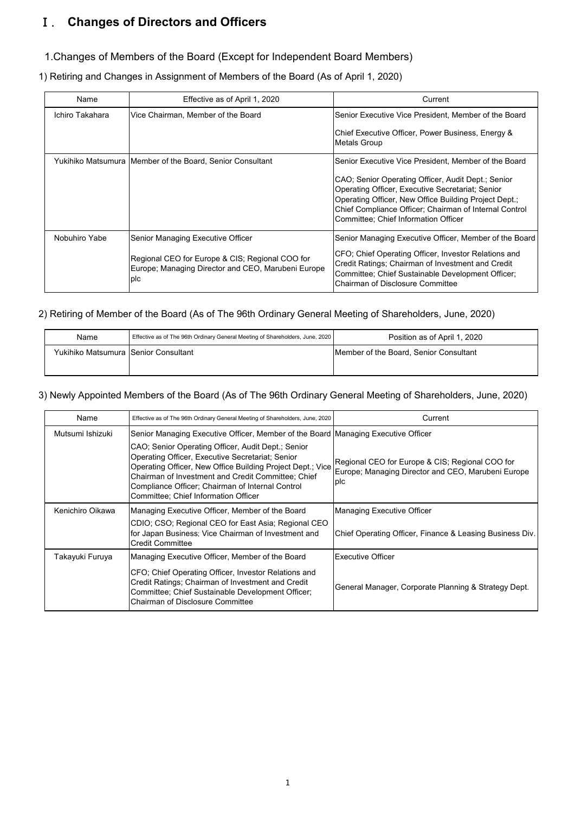## Ⅰ. **Changes of Directors and Officers**

### 1.Changes of Members of the Board (Except for Independent Board Members)

1) Retiring and Changes in Assignment of Members of the Board (As of April 1, 2020)

| Name            | Effective as of April 1, 2020                                                                                | Current                                                                                                                                                                                                                                                           |
|-----------------|--------------------------------------------------------------------------------------------------------------|-------------------------------------------------------------------------------------------------------------------------------------------------------------------------------------------------------------------------------------------------------------------|
| Ichiro Takahara | Vice Chairman, Member of the Board                                                                           | Senior Executive Vice President, Member of the Board                                                                                                                                                                                                              |
|                 |                                                                                                              | Chief Executive Officer, Power Business, Energy &<br>Metals Group                                                                                                                                                                                                 |
|                 | Yukihiko Matsumura   Member of the Board, Senior Consultant                                                  | Senior Executive Vice President, Member of the Board                                                                                                                                                                                                              |
|                 |                                                                                                              | CAO; Senior Operating Officer, Audit Dept.; Senior<br>Operating Officer, Executive Secretariat; Senior<br>Operating Officer, New Office Building Project Dept.;<br>Chief Compliance Officer; Chairman of Internal Control<br>Committee; Chief Information Officer |
| Nobuhiro Yabe   | Senior Managing Executive Officer                                                                            | Senior Managing Executive Officer, Member of the Board                                                                                                                                                                                                            |
|                 | Regional CEO for Europe & CIS; Regional COO for<br>Europe; Managing Director and CEO, Marubeni Europe<br>plc | CFO; Chief Operating Officer, Investor Relations and<br>Credit Ratings; Chairman of Investment and Credit<br>Committee; Chief Sustainable Development Officer;<br>Chairman of Disclosure Committee                                                                |

#### 2) Retiring of Member of the Board (As of The 96th Ordinary General Meeting of Shareholders, June, 2020)

| Name                                 | Effective as of The 96th Ordinary General Meeting of Shareholders, June, 2020 | Position as of April 1, 2020           |
|--------------------------------------|-------------------------------------------------------------------------------|----------------------------------------|
| Yukihiko Matsumura Senior Consultant |                                                                               | Member of the Board, Senior Consultant |
|                                      |                                                                               |                                        |

### 3) Newly Appointed Members of the Board (As of The 96th Ordinary General Meeting of Shareholders, June, 2020)

| Name             | Effective as of The 96th Ordinary General Meeting of Shareholders, June, 2020                                                                                                                                                                                                                                          | Current                                                                                                             |
|------------------|------------------------------------------------------------------------------------------------------------------------------------------------------------------------------------------------------------------------------------------------------------------------------------------------------------------------|---------------------------------------------------------------------------------------------------------------------|
| Mutsumi Ishizuki | Senior Managing Executive Officer, Member of the Board Managing Executive Officer                                                                                                                                                                                                                                      |                                                                                                                     |
|                  | CAO; Senior Operating Officer, Audit Dept.; Senior<br>Operating Officer, Executive Secretariat; Senior<br>Operating Officer, New Office Building Project Dept.; Vice<br>Chairman of Investment and Credit Committee; Chief<br>Compliance Officer; Chairman of Internal Control<br>Committee; Chief Information Officer | Regional CEO for Europe & CIS; Regional COO for<br>Europe; Managing Director and CEO, Marubeni Europe<br><b>DIC</b> |
| Kenichiro Oikawa | Managing Executive Officer, Member of the Board                                                                                                                                                                                                                                                                        | Managing Executive Officer                                                                                          |
|                  | CDIO; CSO; Regional CEO for East Asia; Regional CEO<br>for Japan Business; Vice Chairman of Investment and<br><b>Credit Committee</b>                                                                                                                                                                                  | Chief Operating Officer, Finance & Leasing Business Div.                                                            |
| Takayuki Furuya  | Managing Executive Officer, Member of the Board                                                                                                                                                                                                                                                                        | <b>Executive Officer</b>                                                                                            |
|                  | CFO; Chief Operating Officer, Investor Relations and<br>Credit Ratings; Chairman of Investment and Credit<br>Committee; Chief Sustainable Development Officer;<br>Chairman of Disclosure Committee                                                                                                                     | General Manager, Corporate Planning & Strategy Dept.                                                                |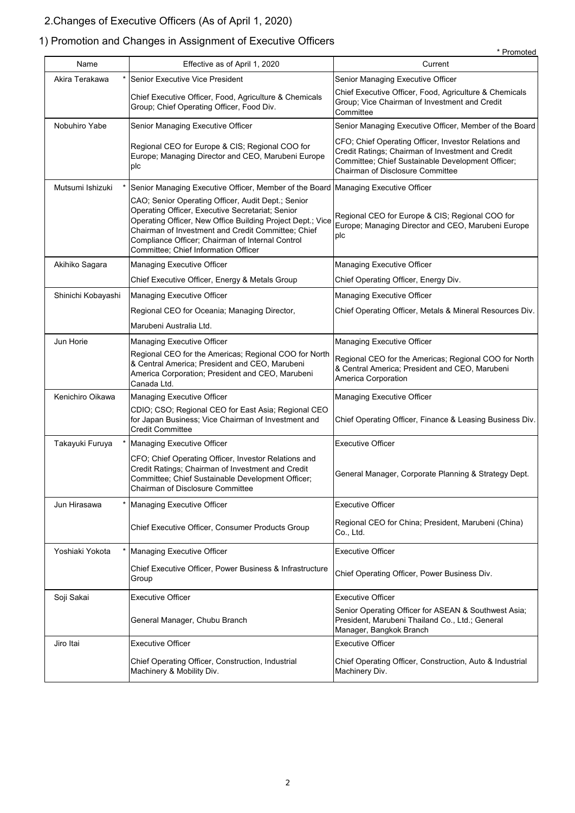# 2.Changes of Executive Officers (As of April 1, 2020)

# 1) Promotion and Changes in Assignment of Executive Officers

|                    |                                                                                                                                                                                                                                                                                                                        | * Promoted                                                                                                                                                                                         |
|--------------------|------------------------------------------------------------------------------------------------------------------------------------------------------------------------------------------------------------------------------------------------------------------------------------------------------------------------|----------------------------------------------------------------------------------------------------------------------------------------------------------------------------------------------------|
| Name               | Effective as of April 1, 2020                                                                                                                                                                                                                                                                                          | Current                                                                                                                                                                                            |
| Akira Terakawa     | Senior Executive Vice President                                                                                                                                                                                                                                                                                        | Senior Managing Executive Officer                                                                                                                                                                  |
|                    | Chief Executive Officer, Food, Agriculture & Chemicals<br>Group; Chief Operating Officer, Food Div.                                                                                                                                                                                                                    | Chief Executive Officer, Food, Agriculture & Chemicals<br>Group; Vice Chairman of Investment and Credit<br>Committee                                                                               |
| Nobuhiro Yabe      | Senior Managing Executive Officer                                                                                                                                                                                                                                                                                      | Senior Managing Executive Officer, Member of the Board                                                                                                                                             |
|                    | Regional CEO for Europe & CIS; Regional COO for<br>Europe; Managing Director and CEO, Marubeni Europe<br>plc                                                                                                                                                                                                           | CFO; Chief Operating Officer, Investor Relations and<br>Credit Ratings; Chairman of Investment and Credit<br>Committee; Chief Sustainable Development Officer;<br>Chairman of Disclosure Committee |
| Mutsumi Ishizuki   | Senior Managing Executive Officer, Member of the Board Managing Executive Officer                                                                                                                                                                                                                                      |                                                                                                                                                                                                    |
|                    | CAO; Senior Operating Officer, Audit Dept.; Senior<br>Operating Officer, Executive Secretariat; Senior<br>Operating Officer, New Office Building Project Dept.; Vice<br>Chairman of Investment and Credit Committee; Chief<br>Compliance Officer; Chairman of Internal Control<br>Committee; Chief Information Officer | Regional CEO for Europe & CIS; Regional COO for<br>Europe; Managing Director and CEO, Marubeni Europe<br>plc                                                                                       |
| Akihiko Sagara     | Managing Executive Officer                                                                                                                                                                                                                                                                                             | Managing Executive Officer                                                                                                                                                                         |
|                    | Chief Executive Officer, Energy & Metals Group                                                                                                                                                                                                                                                                         | Chief Operating Officer, Energy Div.                                                                                                                                                               |
| Shinichi Kobayashi | <b>Managing Executive Officer</b>                                                                                                                                                                                                                                                                                      | Managing Executive Officer                                                                                                                                                                         |
|                    | Regional CEO for Oceania; Managing Director,                                                                                                                                                                                                                                                                           | Chief Operating Officer, Metals & Mineral Resources Div.                                                                                                                                           |
|                    | Marubeni Australia Ltd.                                                                                                                                                                                                                                                                                                |                                                                                                                                                                                                    |
| Jun Horie          | Managing Executive Officer                                                                                                                                                                                                                                                                                             | Managing Executive Officer                                                                                                                                                                         |
|                    | Regional CEO for the Americas; Regional COO for North<br>& Central America; President and CEO, Marubeni<br>America Corporation; President and CEO, Marubeni<br>Canada Ltd.                                                                                                                                             | Regional CEO for the Americas; Regional COO for North<br>& Central America; President and CEO, Marubeni<br>America Corporation                                                                     |
| Kenichiro Oikawa   | Managing Executive Officer                                                                                                                                                                                                                                                                                             | Managing Executive Officer                                                                                                                                                                         |
|                    | CDIO; CSO; Regional CEO for East Asia; Regional CEO<br>for Japan Business; Vice Chairman of Investment and<br><b>Credit Committee</b>                                                                                                                                                                                  | Chief Operating Officer, Finance & Leasing Business Div.                                                                                                                                           |
| Takayuki Furuya    | Managing Executive Officer                                                                                                                                                                                                                                                                                             | <b>Executive Officer</b>                                                                                                                                                                           |
|                    | CFO; Chief Operating Officer, Investor Relations and<br>Credit Ratings; Chairman of Investment and Credit<br>Committee; Chief Sustainable Development Officer;<br>Chairman of Disclosure Committee                                                                                                                     | General Manager, Corporate Planning & Strategy Dept.                                                                                                                                               |
| Jun Hirasawa       | Managing Executive Officer                                                                                                                                                                                                                                                                                             | <b>Executive Officer</b>                                                                                                                                                                           |
|                    | Chief Executive Officer, Consumer Products Group                                                                                                                                                                                                                                                                       | Regional CEO for China; President, Marubeni (China)<br>Co., Ltd.                                                                                                                                   |
| Yoshiaki Yokota    | <b>Managing Executive Officer</b>                                                                                                                                                                                                                                                                                      | <b>Executive Officer</b>                                                                                                                                                                           |
|                    | Chief Executive Officer, Power Business & Infrastructure<br>Group                                                                                                                                                                                                                                                      | Chief Operating Officer, Power Business Div.                                                                                                                                                       |
| Soji Sakai         | <b>Executive Officer</b>                                                                                                                                                                                                                                                                                               | <b>Executive Officer</b>                                                                                                                                                                           |
|                    | General Manager, Chubu Branch                                                                                                                                                                                                                                                                                          | Senior Operating Officer for ASEAN & Southwest Asia;<br>President, Marubeni Thailand Co., Ltd.; General<br>Manager, Bangkok Branch                                                                 |
| Jiro Itai          | <b>Executive Officer</b>                                                                                                                                                                                                                                                                                               | <b>Executive Officer</b>                                                                                                                                                                           |
|                    | Chief Operating Officer, Construction, Industrial<br>Machinery & Mobility Div.                                                                                                                                                                                                                                         | Chief Operating Officer, Construction, Auto & Industrial<br>Machinery Div.                                                                                                                         |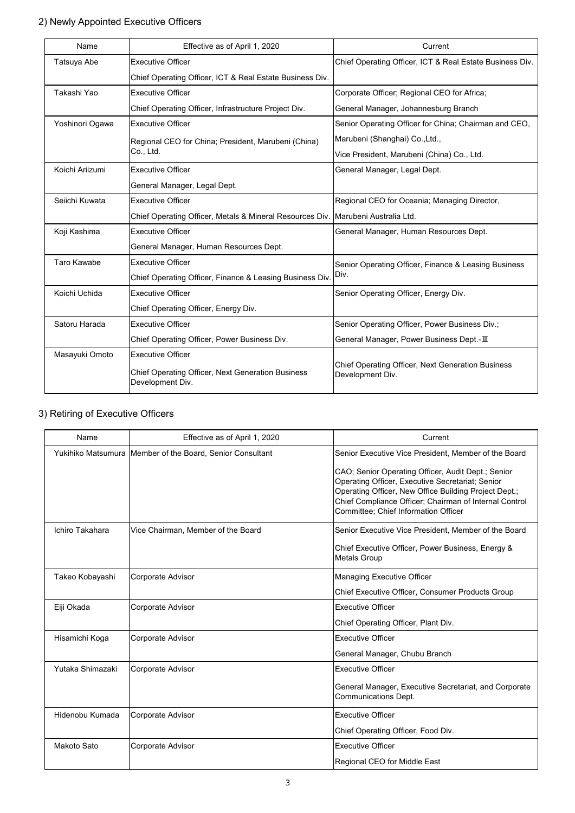### 2) Newly Appointed Executive Officers

| Name            | Effective as of April 1, 2020                                                    | Current                                                                      |
|-----------------|----------------------------------------------------------------------------------|------------------------------------------------------------------------------|
| Tatsuya Abe     | <b>Executive Officer</b>                                                         | Chief Operating Officer, ICT & Real Estate Business Div.                     |
|                 | Chief Operating Officer, ICT & Real Estate Business Div.                         |                                                                              |
| Takashi Yao     | <b>Executive Officer</b>                                                         | Corporate Officer; Regional CEO for Africa;                                  |
|                 | Chief Operating Officer, Infrastructure Project Div.                             | General Manager, Johannesburg Branch                                         |
| Yoshinori Ogawa | <b>Executive Officer</b>                                                         | Senior Operating Officer for China; Chairman and CEO,                        |
|                 | Regional CEO for China; President, Marubeni (China)                              | Marubeni (Shanghai) Co., Ltd.,                                               |
|                 | Co., Ltd.                                                                        | Vice President, Marubeni (China) Co., Ltd.                                   |
| Koichi Ariizumi | <b>Executive Officer</b>                                                         | General Manager, Legal Dept.                                                 |
|                 | General Manager, Legal Dept.                                                     |                                                                              |
| Seiichi Kuwata  | <b>Executive Officer</b>                                                         | Regional CEO for Oceania; Managing Director,                                 |
|                 | Chief Operating Officer, Metals & Mineral Resources Div. Marubeni Australia Ltd. |                                                                              |
| Koji Kashima    | <b>Executive Officer</b>                                                         | General Manager, Human Resources Dept.                                       |
|                 | General Manager, Human Resources Dept.                                           |                                                                              |
| Taro Kawabe     | <b>Executive Officer</b>                                                         | Senior Operating Officer, Finance & Leasing Business                         |
|                 | Chief Operating Officer, Finance & Leasing Business Div.                         | Div.                                                                         |
| Koichi Uchida   | <b>Executive Officer</b>                                                         | Senior Operating Officer, Energy Div.                                        |
|                 | Chief Operating Officer, Energy Div.                                             |                                                                              |
| Satoru Harada   | <b>Executive Officer</b>                                                         | Senior Operating Officer, Power Business Div.;                               |
|                 | Chief Operating Officer, Power Business Div.                                     | General Manager, Power Business Dept.-III                                    |
| Masayuki Omoto  | <b>Executive Officer</b>                                                         |                                                                              |
|                 | <b>Chief Operating Officer, Next Generation Business</b><br>Development Div.     | <b>Chief Operating Officer, Next Generation Business</b><br>Development Div. |

### 3) Retiring of Executive Officers

| Name             | Effective as of April 1, 2020                             | Current                                                                                                                                                                                                                                                           |
|------------------|-----------------------------------------------------------|-------------------------------------------------------------------------------------------------------------------------------------------------------------------------------------------------------------------------------------------------------------------|
|                  | Yukihiko Matsumura Member of the Board, Senior Consultant | Senior Executive Vice President, Member of the Board                                                                                                                                                                                                              |
|                  |                                                           | CAO; Senior Operating Officer, Audit Dept.; Senior<br>Operating Officer, Executive Secretariat; Senior<br>Operating Officer, New Office Building Project Dept.;<br>Chief Compliance Officer; Chairman of Internal Control<br>Committee; Chief Information Officer |
| Ichiro Takahara  | Vice Chairman, Member of the Board                        | Senior Executive Vice President. Member of the Board                                                                                                                                                                                                              |
|                  |                                                           | Chief Executive Officer, Power Business, Energy &<br><b>Metals Group</b>                                                                                                                                                                                          |
| Takeo Kobayashi  | Corporate Advisor                                         | Managing Executive Officer                                                                                                                                                                                                                                        |
|                  |                                                           | Chief Executive Officer, Consumer Products Group                                                                                                                                                                                                                  |
| Eiji Okada       | Corporate Advisor                                         | <b>Executive Officer</b>                                                                                                                                                                                                                                          |
|                  |                                                           | Chief Operating Officer, Plant Div.                                                                                                                                                                                                                               |
| Hisamichi Koga   | Corporate Advisor                                         | <b>Executive Officer</b>                                                                                                                                                                                                                                          |
|                  |                                                           | General Manager, Chubu Branch                                                                                                                                                                                                                                     |
| Yutaka Shimazaki | Corporate Advisor                                         | <b>Executive Officer</b>                                                                                                                                                                                                                                          |
|                  |                                                           | General Manager, Executive Secretariat, and Corporate<br>Communications Dept.                                                                                                                                                                                     |
| Hidenobu Kumada  | Corporate Advisor                                         | <b>Executive Officer</b>                                                                                                                                                                                                                                          |
|                  |                                                           | Chief Operating Officer, Food Div.                                                                                                                                                                                                                                |
| Makoto Sato      | Corporate Advisor                                         | <b>Executive Officer</b>                                                                                                                                                                                                                                          |
|                  |                                                           | Regional CEO for Middle East                                                                                                                                                                                                                                      |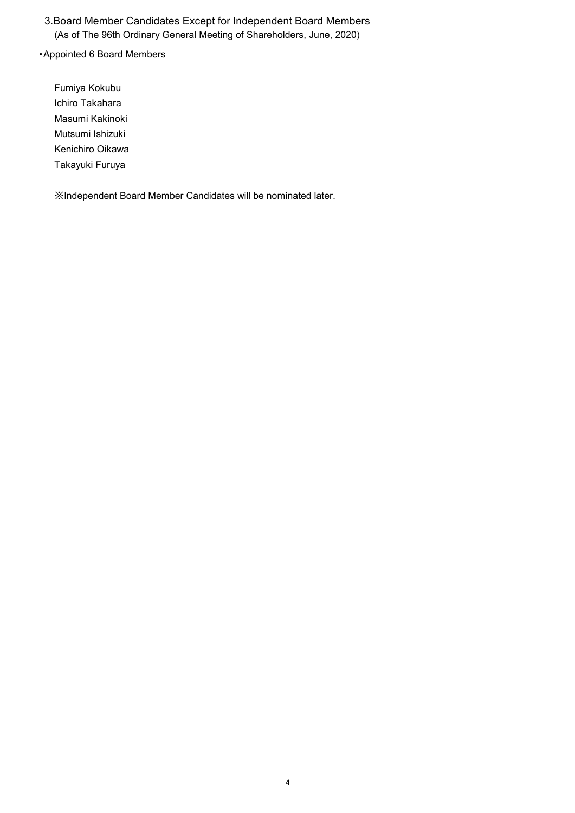### 3.Board Member Candidates Except for Independent Board Members (As of The 96th Ordinary General Meeting of Shareholders, June, 2020)

### ・Appointed 6 Board Members

Fumiya Kokubu Ichiro Takahara Masumi Kakinoki Mutsumi Ishizuki Kenichiro Oikawa Takayuki Furuya

※Independent Board Member Candidates will be nominated later.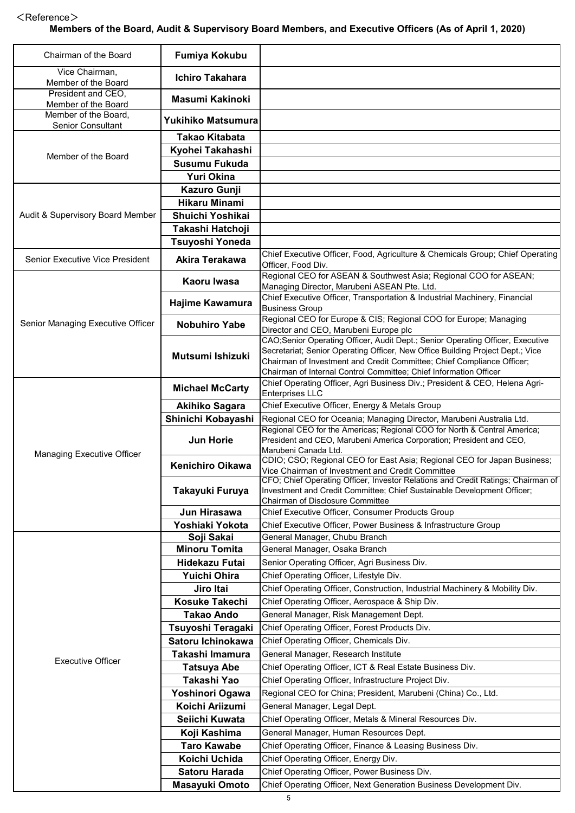### $<$ Reference $>$

### **Members of the Board, Audit & Supervisory Board Members, and Executive Officers (As of April 1, 2020)**

| Chairman of the Board                            | <b>Fumiya Kokubu</b>              |                                                                                                                                                 |
|--------------------------------------------------|-----------------------------------|-------------------------------------------------------------------------------------------------------------------------------------------------|
|                                                  |                                   |                                                                                                                                                 |
| Vice Chairman,<br>Member of the Board            | <b>Ichiro Takahara</b>            |                                                                                                                                                 |
| President and CEO,                               | <b>Masumi Kakinoki</b>            |                                                                                                                                                 |
| Member of the Board                              |                                   |                                                                                                                                                 |
| Member of the Board,<br><b>Senior Consultant</b> | Yukihiko Matsumura                |                                                                                                                                                 |
|                                                  | <b>Takao Kitabata</b>             |                                                                                                                                                 |
|                                                  | Kyohei Takahashi                  |                                                                                                                                                 |
| Member of the Board                              | Susumu Fukuda                     |                                                                                                                                                 |
|                                                  | <b>Yuri Okina</b>                 |                                                                                                                                                 |
|                                                  | Kazuro Gunji                      |                                                                                                                                                 |
|                                                  | <b>Hikaru Minami</b>              |                                                                                                                                                 |
| Audit & Supervisory Board Member                 | Shuichi Yoshikai                  |                                                                                                                                                 |
|                                                  | Takashi Hatchoji                  |                                                                                                                                                 |
|                                                  | Tsuyoshi Yoneda                   |                                                                                                                                                 |
| Senior Executive Vice President                  | Akira Terakawa                    | Chief Executive Officer, Food, Agriculture & Chemicals Group; Chief Operating<br>Officer, Food Div.                                             |
|                                                  | Kaoru Iwasa                       | Regional CEO for ASEAN & Southwest Asia; Regional COO for ASEAN;<br>Managing Director, Marubeni ASEAN Pte. Ltd.                                 |
|                                                  |                                   | Chief Executive Officer, Transportation & Industrial Machinery, Financial                                                                       |
|                                                  | Hajime Kawamura                   | <b>Business Group</b>                                                                                                                           |
| Senior Managing Executive Officer                | <b>Nobuhiro Yabe</b>              | Regional CEO for Europe & CIS; Regional COO for Europe; Managing                                                                                |
|                                                  |                                   | Director and CEO, Marubeni Europe plc<br>CAO;Senior Operating Officer, Audit Dept.; Senior Operating Officer, Executive                         |
|                                                  | Mutsumi Ishizuki                  | Secretariat; Senior Operating Officer, New Office Building Project Dept.; Vice                                                                  |
|                                                  |                                   | Chairman of Investment and Credit Committee; Chief Compliance Officer;                                                                          |
|                                                  |                                   | Chairman of Internal Control Committee; Chief Information Officer<br>Chief Operating Officer, Agri Business Div.; President & CEO, Helena Agri- |
|                                                  | <b>Michael McCarty</b>            | Enterprises LLC                                                                                                                                 |
|                                                  | <b>Akihiko Sagara</b>             | Chief Executive Officer, Energy & Metals Group                                                                                                  |
|                                                  | Shinichi Kobayashi                | Regional CEO for Oceania; Managing Director, Marubeni Australia Ltd.                                                                            |
|                                                  | <b>Jun Horie</b>                  | Regional CEO for the Americas; Regional COO for North & Central America;<br>President and CEO, Marubeni America Corporation; President and CEO, |
| Managing Executive Officer                       |                                   | Marubeni Canada Ltd.                                                                                                                            |
|                                                  | <b>Kenichiro Oikawa</b>           | CDIO; CSO; Regional CEO for East Asia; Regional CEO for Japan Business;<br>Vice Chairman of Investment and Credit Committee                     |
|                                                  |                                   | CFO; Chief Operating Officer, Investor Relations and Credit Ratings; Chairman of                                                                |
|                                                  | Takayuki Furuya                   | Investment and Credit Committee; Chief Sustainable Development Officer;                                                                         |
|                                                  | Jun Hirasawa                      | Chairman of Disclosure Committee<br>Chief Executive Officer, Consumer Products Group                                                            |
|                                                  | Yoshiaki Yokota                   | Chief Executive Officer, Power Business & Infrastructure Group                                                                                  |
|                                                  | Soji Sakai                        | General Manager, Chubu Branch                                                                                                                   |
|                                                  | <b>Minoru Tomita</b>              | General Manager, Osaka Branch                                                                                                                   |
|                                                  | Hidekazu Futai                    | Senior Operating Officer, Agri Business Div.                                                                                                    |
|                                                  | Yuichi Ohira                      | Chief Operating Officer, Lifestyle Div.                                                                                                         |
|                                                  | Jiro Itai                         | Chief Operating Officer, Construction, Industrial Machinery & Mobility Div.                                                                     |
|                                                  | Kosuke Takechi                    | Chief Operating Officer, Aerospace & Ship Div.                                                                                                  |
|                                                  | <b>Takao Ando</b>                 | General Manager, Risk Management Dept.                                                                                                          |
|                                                  | Tsuyoshi Teragaki                 | Chief Operating Officer, Forest Products Div.                                                                                                   |
|                                                  | Satoru Ichinokawa                 | Chief Operating Officer, Chemicals Div.                                                                                                         |
| <b>Executive Officer</b>                         | Takashi Imamura                   | General Manager, Research Institute<br>Chief Operating Officer, ICT & Real Estate Business Div.                                                 |
|                                                  | <b>Tatsuya Abe</b><br>Takashi Yao | Chief Operating Officer, Infrastructure Project Div.                                                                                            |
|                                                  | Yoshinori Ogawa                   | Regional CEO for China; President, Marubeni (China) Co., Ltd.                                                                                   |
|                                                  | Koichi Ariizumi                   | General Manager, Legal Dept.                                                                                                                    |
|                                                  | Seiichi Kuwata                    | Chief Operating Officer, Metals & Mineral Resources Div.                                                                                        |
|                                                  | Koji Kashima                      | General Manager, Human Resources Dept.                                                                                                          |
|                                                  | <b>Taro Kawabe</b>                | Chief Operating Officer, Finance & Leasing Business Div.                                                                                        |
|                                                  | Koichi Uchida                     | Chief Operating Officer, Energy Div.                                                                                                            |
|                                                  | <b>Satoru Harada</b>              | Chief Operating Officer, Power Business Div.                                                                                                    |
|                                                  | Masayuki Omoto                    | Chief Operating Officer, Next Generation Business Development Div.                                                                              |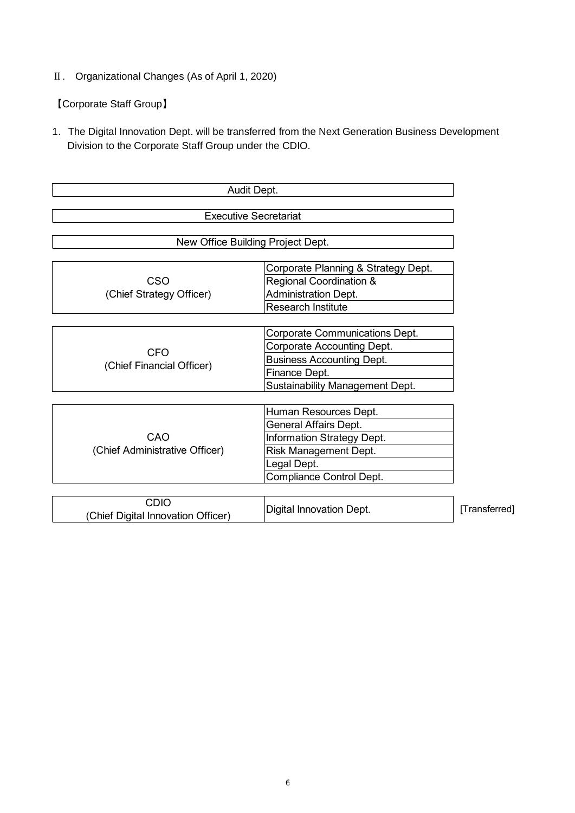Ⅱ. Organizational Changes (As of April 1, 2020)

【Corporate Staff Group】

1.The Digital Innovation Dept. will be transferred from the Next Generation Business Development Division to the Corporate Staff Group under the CDIO.

| Audit Dept.                                       |                                                                                                                                                         |               |  |  |  |  |
|---------------------------------------------------|---------------------------------------------------------------------------------------------------------------------------------------------------------|---------------|--|--|--|--|
| <b>Executive Secretariat</b>                      |                                                                                                                                                         |               |  |  |  |  |
|                                                   | New Office Building Project Dept.                                                                                                                       |               |  |  |  |  |
| CSO<br>(Chief Strategy Officer)                   | Corporate Planning & Strategy Dept.<br><b>Regional Coordination &amp;</b><br><b>Administration Dept.</b><br><b>Research Institute</b>                   |               |  |  |  |  |
| <b>CFO</b><br>(Chief Financial Officer)           | Corporate Communications Dept.<br>Corporate Accounting Dept.<br><b>Business Accounting Dept.</b><br>Finance Dept.<br>Sustainability Management Dept.    |               |  |  |  |  |
| CAO<br>(Chief Administrative Officer)             | Human Resources Dept.<br>General Affairs Dept.<br><b>Information Strategy Dept.</b><br>Risk Management Dept.<br>Legal Dept.<br>Compliance Control Dept. |               |  |  |  |  |
| <b>CDIO</b><br>(Chief Digital Innovation Officer) | <b>Digital Innovation Dept.</b>                                                                                                                         | [Transferred] |  |  |  |  |

6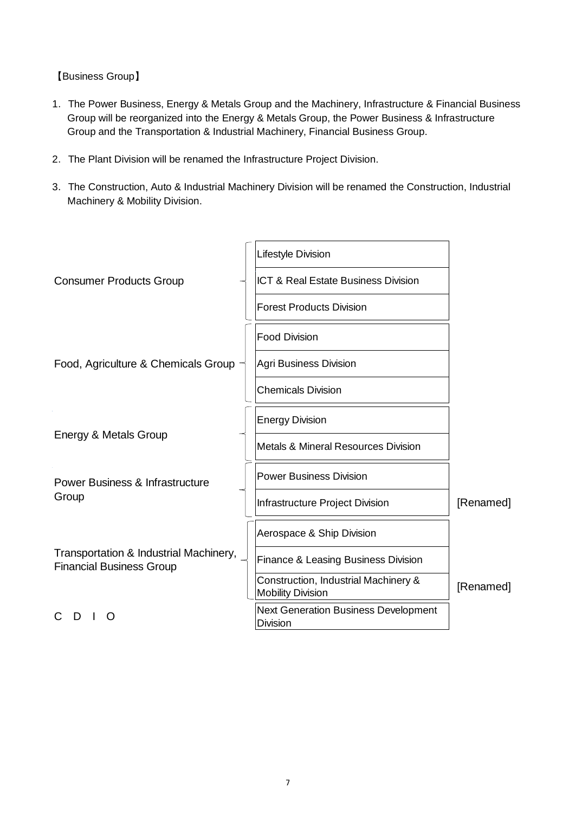【Business Group】

- 1.The Power Business, Energy & Metals Group and the Machinery, Infrastructure & Financial Business Group will be reorganized into the Energy & Metals Group, the Power Business & Infrastructure Group and the Transportation & Industrial Machinery, Financial Business Group.
- 2.The Plant Division will be renamed the Infrastructure Project Division.
- 3.The Construction, Auto & Industrial Machinery Division will be renamed the Construction, Industrial Machinery & Mobility Division.

|                                                                           | Lifestyle Division                                               |           |
|---------------------------------------------------------------------------|------------------------------------------------------------------|-----------|
| <b>Consumer Products Group</b>                                            | ICT & Real Estate Business Division                              |           |
|                                                                           | <b>Forest Products Division</b>                                  |           |
|                                                                           | <b>Food Division</b>                                             |           |
| Food, Agriculture & Chemicals Group                                       | <b>Agri Business Division</b>                                    |           |
|                                                                           | <b>Chemicals Division</b>                                        |           |
|                                                                           | <b>Energy Division</b>                                           |           |
| Energy & Metals Group                                                     | <b>Metals &amp; Mineral Resources Division</b>                   |           |
| <b>Power Business &amp; Infrastructure</b>                                | <b>Power Business Division</b>                                   |           |
| Group                                                                     | Infrastructure Project Division                                  | [Renamed] |
|                                                                           | Aerospace & Ship Division                                        |           |
| Transportation & Industrial Machinery,<br><b>Financial Business Group</b> | Finance & Leasing Business Division                              |           |
|                                                                           | Construction, Industrial Machinery &<br><b>Mobility Division</b> | [Renamed] |
|                                                                           | <b>Next Generation Business Development</b><br><b>Division</b>   |           |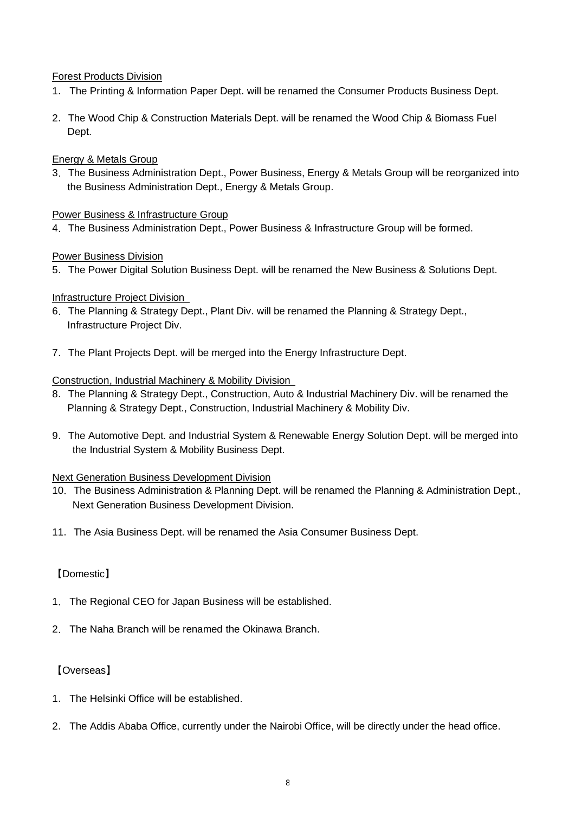### Forest Products Division

- 1.The Printing & Information Paper Dept. will be renamed the Consumer Products Business Dept.
- 2.The Wood Chip & Construction Materials Dept. will be renamed the Wood Chip & Biomass Fuel Dept.

### Energy & Metals Group

3.The Business Administration Dept., Power Business, Energy & Metals Group will be reorganized into the Business Administration Dept., Energy & Metals Group.

### Power Business & Infrastructure Group

4.The Business Administration Dept., Power Business & Infrastructure Group will be formed.

### Power Business Division

5.The Power Digital Solution Business Dept. will be renamed the New Business & Solutions Dept.

### Infrastructure Project Division

- 6.The Planning & Strategy Dept., Plant Div. will be renamed the Planning & Strategy Dept., Infrastructure Project Div.
- 7.The Plant Projects Dept. will be merged into the Energy Infrastructure Dept.

### Construction, Industrial Machinery & Mobility Division

- 8.The Planning & Strategy Dept., Construction, Auto & Industrial Machinery Div. will be renamed the Planning & Strategy Dept., Construction, Industrial Machinery & Mobility Div.
- 9.The Automotive Dept. and Industrial System & Renewable Energy Solution Dept. will be merged into the Industrial System & Mobility Business Dept.

### Next Generation Business Development Division

- 10.The Business Administration & Planning Dept. will be renamed the Planning & Administration Dept., Next Generation Business Development Division.
- 11.The Asia Business Dept. will be renamed the Asia Consumer Business Dept.

### 【Domestic】

- 1.The Regional CEO for Japan Business will be established.
- 2.The Naha Branch will be renamed the Okinawa Branch.

### 【Overseas】

- 1.The Helsinki Office will be established.
- 2.The Addis Ababa Office, currently under the Nairobi Office, will be directly under the head office.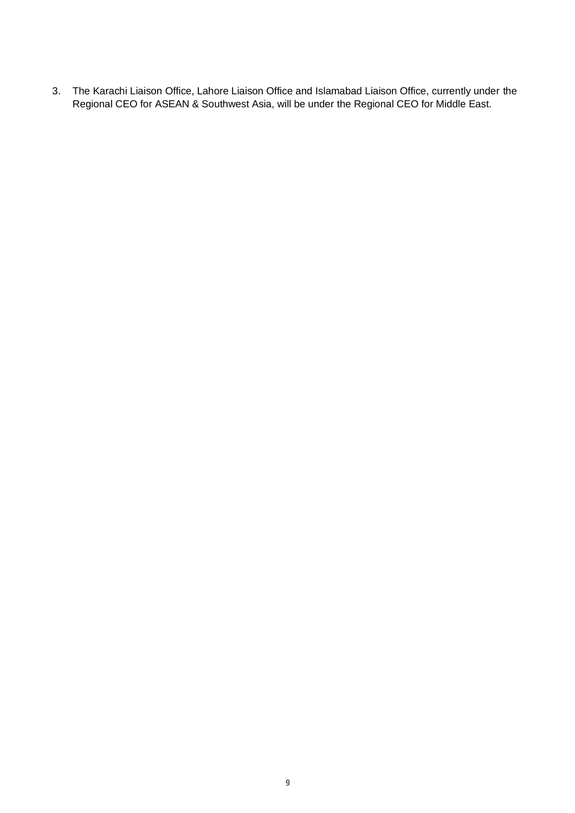. The Karachi Liaison Office, Lahore Liaison Office and Islamabad Liaison Office, currently under the Regional CEO for ASEAN & Southwest Asia, will be under the Regional CEO for Middle East.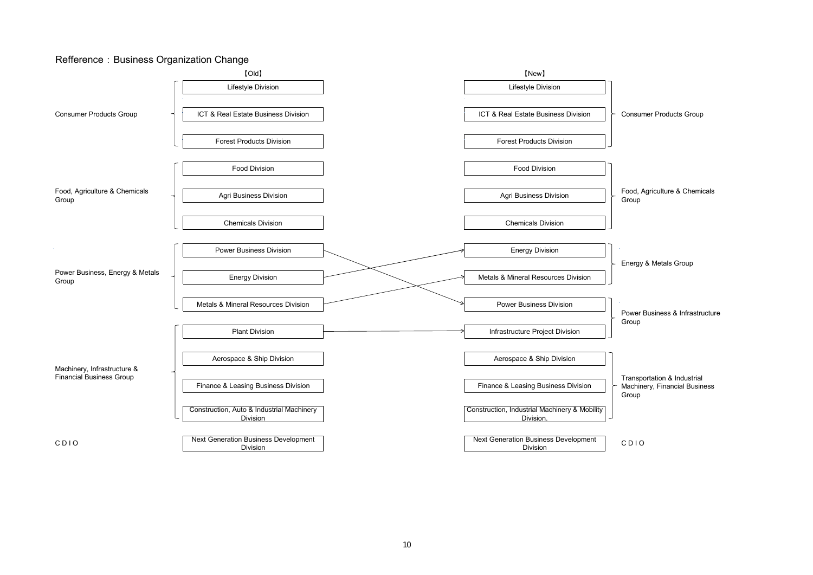#### Refference: Business Organization Change

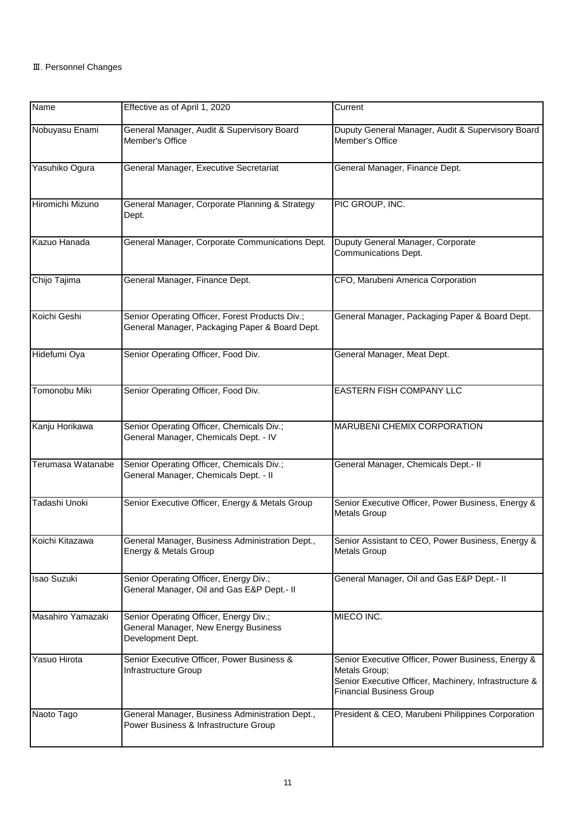| Name              | Effective as of April 1, 2020                                                                       | Current                                                                                                                                                         |
|-------------------|-----------------------------------------------------------------------------------------------------|-----------------------------------------------------------------------------------------------------------------------------------------------------------------|
| Nobuyasu Enami    | General Manager, Audit & Supervisory Board<br>Member's Office                                       | Duputy General Manager, Audit & Supervisory Board<br>Member's Office                                                                                            |
| Yasuhiko Ogura    | General Manager, Executive Secretariat                                                              | General Manager, Finance Dept.                                                                                                                                  |
| Hiromichi Mizuno  | General Manager, Corporate Planning & Strategy<br>Dept.                                             | PIC GROUP, INC.                                                                                                                                                 |
| Kazuo Hanada      | General Manager, Corporate Communications Dept.                                                     | Duputy General Manager, Corporate<br>Communications Dept.                                                                                                       |
| Chijo Tajima      | General Manager, Finance Dept.                                                                      | CFO, Marubeni America Corporation                                                                                                                               |
| Koichi Geshi      | Senior Operating Officer, Forest Products Div.;<br>General Manager, Packaging Paper & Board Dept.   | General Manager, Packaging Paper & Board Dept.                                                                                                                  |
| Hidefumi Oya      | Senior Operating Officer, Food Div.                                                                 | General Manager, Meat Dept.                                                                                                                                     |
| Tomonobu Miki     | Senior Operating Officer, Food Div.                                                                 | EASTERN FISH COMPANY LLC                                                                                                                                        |
| Kanju Horikawa    | Senior Operating Officer, Chemicals Div.;<br>General Manager, Chemicals Dept. - IV                  | MARUBENI CHEMIX CORPORATION                                                                                                                                     |
| Terumasa Watanabe | Senior Operating Officer, Chemicals Div.;<br>General Manager, Chemicals Dept. - II                  | General Manager, Chemicals Dept.- II                                                                                                                            |
| Tadashi Unoki     | Senior Executive Officer, Energy & Metals Group                                                     | Senior Executive Officer, Power Business, Energy &<br><b>Metals Group</b>                                                                                       |
| Koichi Kitazawa   | General Manager, Business Administration Dept.,<br>Energy & Metals Group                            | Senior Assistant to CEO, Power Business, Energy &<br>Metals Group                                                                                               |
| Isao Suzuki       | Senior Operating Officer, Energy Div.;<br>General Manager, Oil and Gas E&P Dept.- II                | General Manager, Oil and Gas E&P Dept.- II                                                                                                                      |
| Masahiro Yamazaki | Senior Operating Officer, Energy Div.;<br>General Manager, New Energy Business<br>Development Dept. | MIECO INC.                                                                                                                                                      |
| Yasuo Hirota      | Senior Executive Officer, Power Business &<br>Infrastructure Group                                  | Senior Executive Officer, Power Business, Energy &<br>Metals Group;<br>Senior Executive Officer, Machinery, Infrastructure &<br><b>Financial Business Group</b> |
| Naoto Tago        | General Manager, Business Administration Dept.,<br>Power Business & Infrastructure Group            | President & CEO, Marubeni Philippines Corporation                                                                                                               |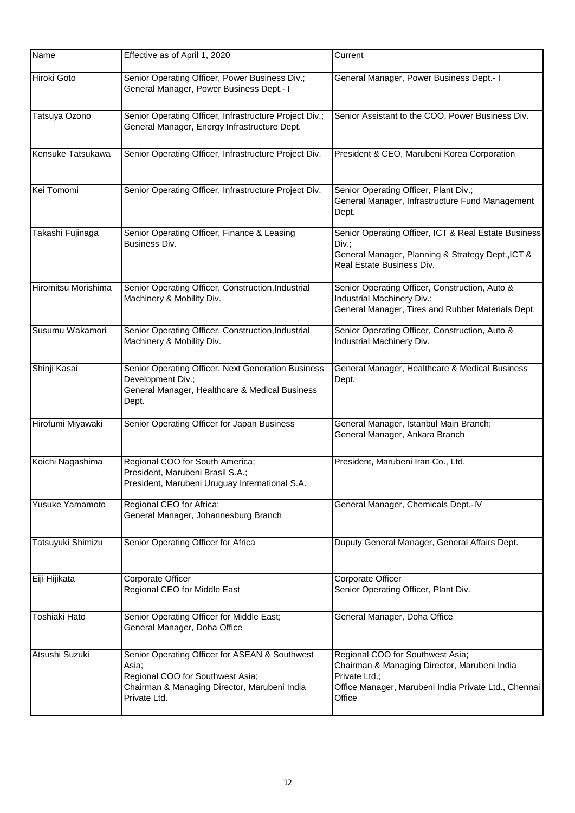| Name                 | Effective as of April 1, 2020                                                                                                                               | Current                                                                                                                                                             |
|----------------------|-------------------------------------------------------------------------------------------------------------------------------------------------------------|---------------------------------------------------------------------------------------------------------------------------------------------------------------------|
| <b>Hiroki Goto</b>   | Senior Operating Officer, Power Business Div.;<br>General Manager, Power Business Dept.- I                                                                  | General Manager, Power Business Dept.- I                                                                                                                            |
| Tatsuya Ozono        | Senior Operating Officer, Infrastructure Project Div.;<br>General Manager, Energy Infrastructure Dept.                                                      | Senior Assistant to the COO, Power Business Div.                                                                                                                    |
| Kensuke Tatsukawa    | Senior Operating Officer, Infrastructure Project Div.                                                                                                       | President & CEO, Marubeni Korea Corporation                                                                                                                         |
| Kei Tomomi           | Senior Operating Officer, Infrastructure Project Div.                                                                                                       | Senior Operating Officer, Plant Div.;<br>General Manager, Infrastructure Fund Management<br>Dept.                                                                   |
| Takashi Fujinaga     | Senior Operating Officer, Finance & Leasing<br>Business Div.                                                                                                | Senior Operating Officer, ICT & Real Estate Business<br>Div.;<br>General Manager, Planning & Strategy Dept., ICT &<br>Real Estate Business Div.                     |
| Hiromitsu Morishima  | Senior Operating Officer, Construction, Industrial<br>Machinery & Mobility Div.                                                                             | Senior Operating Officer, Construction, Auto &<br>Industrial Machinery Div.;<br>General Manager, Tires and Rubber Materials Dept.                                   |
| Susumu Wakamori      | Senior Operating Officer, Construction, Industrial<br>Machinery & Mobility Div.                                                                             | Senior Operating Officer, Construction, Auto &<br>Industrial Machinery Div.                                                                                         |
| Shinji Kasai         | Senior Operating Officer, Next Generation Business<br>Development Div.;<br>General Manager, Healthcare & Medical Business<br>Dept.                          | General Manager, Healthcare & Medical Business<br>Dept.                                                                                                             |
| Hirofumi Miyawaki    | Senior Operating Officer for Japan Business                                                                                                                 | General Manager, Istanbul Main Branch;<br>General Manager, Ankara Branch                                                                                            |
| Koichi Nagashima     | Regional COO for South America;<br>President, Marubeni Brasil S.A.;<br>President, Marubeni Uruguay International S.A.                                       | President, Marubeni Iran Co., Ltd.                                                                                                                                  |
| Yusuke Yamamoto      | Regional CEO for Africa;<br>General Manager, Johannesburg Branch                                                                                            | General Manager, Chemicals Dept.-IV                                                                                                                                 |
| Tatsuyuki Shimizu    | Senior Operating Officer for Africa                                                                                                                         | Duputy General Manager, General Affairs Dept.                                                                                                                       |
| Eiji Hijikata        | Corporate Officer<br>Regional CEO for Middle East                                                                                                           | Corporate Officer<br>Senior Operating Officer, Plant Div.                                                                                                           |
| <b>Toshiaki Hato</b> | Senior Operating Officer for Middle East;<br>General Manager, Doha Office                                                                                   | General Manager, Doha Office                                                                                                                                        |
| Atsushi Suzuki       | Senior Operating Officer for ASEAN & Southwest<br>Asia;<br>Regional COO for Southwest Asia;<br>Chairman & Managing Director, Marubeni India<br>Private Ltd. | Regional COO for Southwest Asia;<br>Chairman & Managing Director, Marubeni India<br>Private Ltd.;<br>Office Manager, Marubeni India Private Ltd., Chennai<br>Office |